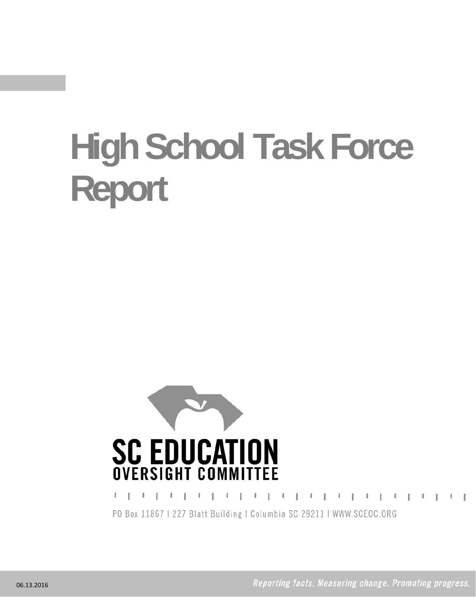# **High School Task Force Report**



, , , , , , , , , , , , , , , , , , , L PO Box 11867 | 227 Blatt Building | Columbia SC 29211 | WWW.SCEOC.ORG

Reporting facts. Measuring change. Promoting progress.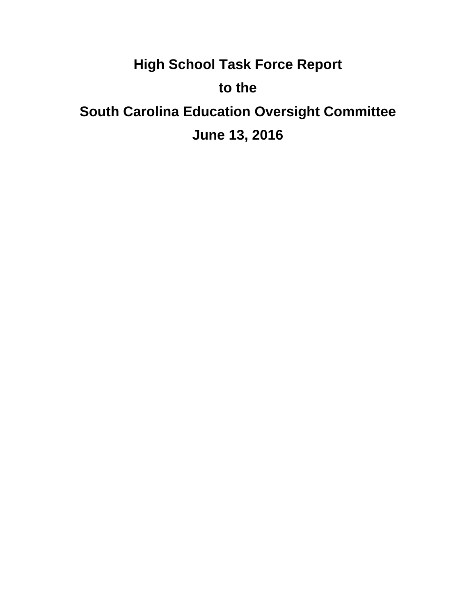# **High School Task Force Report to the South Carolina Education Oversight Committee June 13, 2016**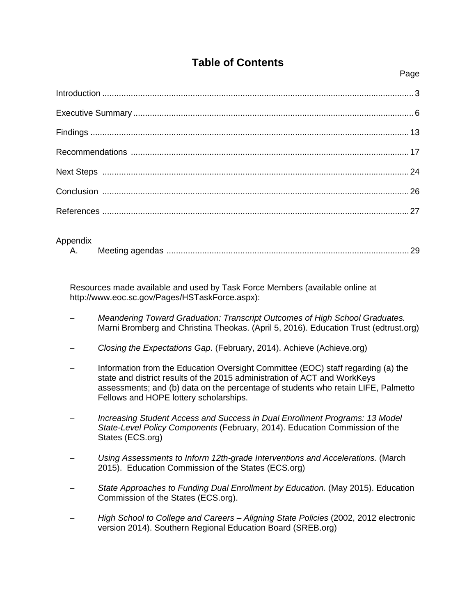# **Table of Contents**

| Appendix |  |
|----------|--|

Resources made available and used by Task Force Members (available online at http://www.eoc.sc.gov/Pages/HSTaskForce.aspx):

- *Meandering Toward Graduation: Transcript Outcomes of High School Graduates.* Marni Bromberg and Christina Theokas. (April 5, 2016). Education Trust (edtrust.org)
- *Closing the Expectations Gap.* (February, 2014). Achieve (Achieve.org)
- Information from the Education Oversight Committee (EOC) staff regarding (a) the state and district results of the 2015 administration of ACT and WorkKeys assessments; and (b) data on the percentage of students who retain LIFE, Palmetto Fellows and HOPE lottery scholarships.
- *Increasing Student Access and Success in Dual Enrollment Programs: 13 Model State-Level Policy Components* (February, 2014). Education Commission of the States (ECS.org)
- *Using Assessments to Inform 12th-grade Interventions and Accelerations.* (March 2015). Education Commission of the States (ECS.org)
- *State Approaches to Funding Dual Enrollment by Education.* (May 2015). Education Commission of the States (ECS.org).
- *High School to College and Careers Aligning State Policies* (2002, 2012 electronic version 2014). Southern Regional Education Board (SREB.org)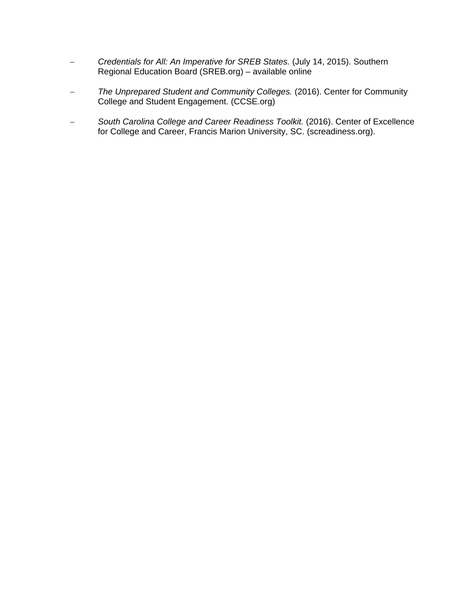- *Credentials for All: An Imperative for SREB States.* (July 14, 2015). Southern Regional Education Board (SREB.org) – available online
- *The Unprepared Student and Community Colleges.* (2016). Center for Community College and Student Engagement. (CCSE.org)
- *South Carolina College and Career Readiness Toolkit.* (2016). Center of Excellence for College and Career, Francis Marion University, SC. (screadiness.org).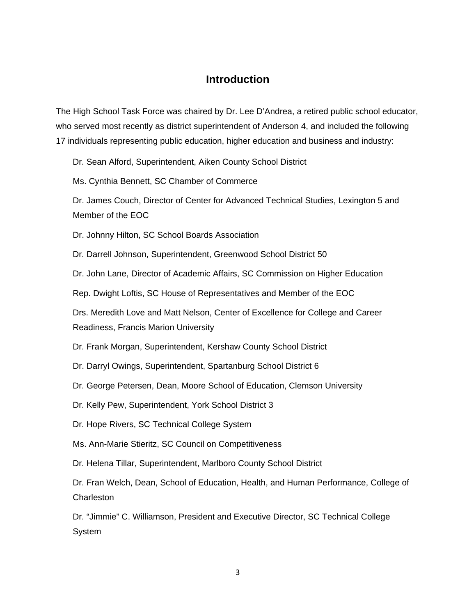#### **Introduction**

The High School Task Force was chaired by Dr. Lee D'Andrea, a retired public school educator, who served most recently as district superintendent of Anderson 4, and included the following 17 individuals representing public education, higher education and business and industry:

Dr. Sean Alford, Superintendent, Aiken County School District

Ms. Cynthia Bennett, SC Chamber of Commerce

Dr. James Couch, Director of Center for Advanced Technical Studies, Lexington 5 and Member of the EOC

Dr. Johnny Hilton, SC School Boards Association

Dr. Darrell Johnson, Superintendent, Greenwood School District 50

Dr. John Lane, Director of Academic Affairs, SC Commission on Higher Education

Rep. Dwight Loftis, SC House of Representatives and Member of the EOC

Drs. Meredith Love and Matt Nelson, Center of Excellence for College and Career Readiness, Francis Marion University

Dr. Frank Morgan, Superintendent, Kershaw County School District

Dr. Darryl Owings, Superintendent, Spartanburg School District 6

Dr. George Petersen, Dean, Moore School of Education, Clemson University

Dr. Kelly Pew, Superintendent, York School District 3

Dr. Hope Rivers, SC Technical College System

Ms. Ann-Marie Stieritz, SC Council on Competitiveness

Dr. Helena Tillar, Superintendent, Marlboro County School District

Dr. Fran Welch, Dean, School of Education, Health, and Human Performance, College of **Charleston** 

Dr. "Jimmie" C. Williamson, President and Executive Director, SC Technical College **System**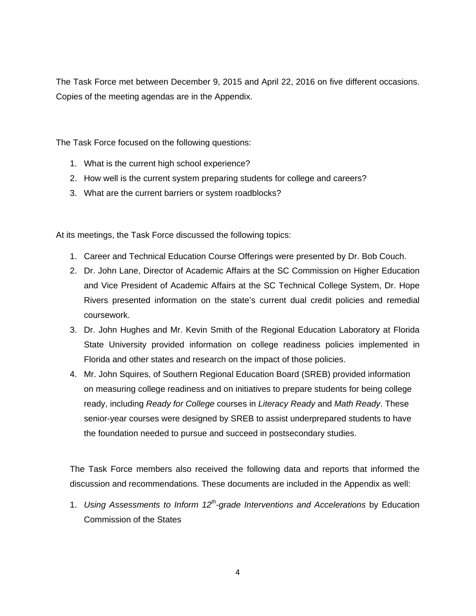The Task Force met between December 9, 2015 and April 22, 2016 on five different occasions. Copies of the meeting agendas are in the Appendix.

The Task Force focused on the following questions:

- 1. What is the current high school experience?
- 2. How well is the current system preparing students for college and careers?
- 3. What are the current barriers or system roadblocks?

At its meetings, the Task Force discussed the following topics:

- 1. Career and Technical Education Course Offerings were presented by Dr. Bob Couch.
- 2. Dr. John Lane, Director of Academic Affairs at the SC Commission on Higher Education and Vice President of Academic Affairs at the SC Technical College System, Dr. Hope Rivers presented information on the state's current dual credit policies and remedial coursework.
- 3. Dr. John Hughes and Mr. Kevin Smith of the Regional Education Laboratory at Florida State University provided information on college readiness policies implemented in Florida and other states and research on the impact of those policies.
- 4. Mr. John Squires, of Southern Regional Education Board (SREB) provided information on measuring college readiness and on initiatives to prepare students for being college ready, including *Ready for College* courses in *Literacy Ready* and *Math Ready*. These senior-year courses were designed by SREB to assist underprepared students to have the foundation needed to pursue and succeed in postsecondary studies.

The Task Force members also received the following data and reports that informed the discussion and recommendations. These documents are included in the Appendix as well:

1. *Using Assessments to Inform 12th-grade Interventions and Accelerations* by Education Commission of the States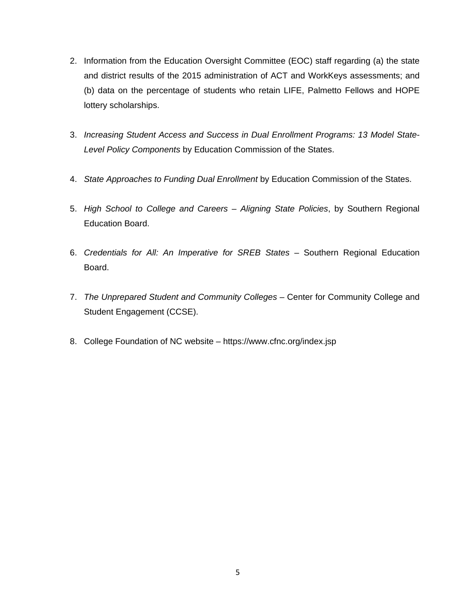- 2. Information from the Education Oversight Committee (EOC) staff regarding (a) the state and district results of the 2015 administration of ACT and WorkKeys assessments; and (b) data on the percentage of students who retain LIFE, Palmetto Fellows and HOPE lottery scholarships.
- 3. *Increasing Student Access and Success in Dual Enrollment Programs: 13 Model State-Level Policy Components* by Education Commission of the States.
- 4. *State Approaches to Funding Dual Enrollment* by Education Commission of the States.
- 5. *High School to College and Careers Aligning State Policies*, by Southern Regional Education Board.
- 6. *Credentials for All: An Imperative for SREB States* Southern Regional Education Board.
- 7. *The Unprepared Student and Community Colleges* Center for Community College and Student Engagement (CCSE).
- 8. College Foundation of NC website https://www.cfnc.org/index.jsp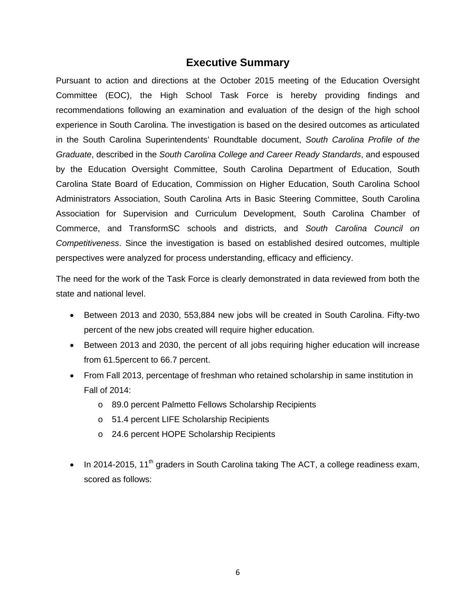#### **Executive Summary**

Pursuant to action and directions at the October 2015 meeting of the Education Oversight Committee (EOC), the High School Task Force is hereby providing findings and recommendations following an examination and evaluation of the design of the high school experience in South Carolina. The investigation is based on the desired outcomes as articulated in the South Carolina Superintendents' Roundtable document, *South Carolina Profile of the Graduate*, described in the *South Carolina College and Career Ready Standards*, and espoused by the Education Oversight Committee, South Carolina Department of Education, South Carolina State Board of Education, Commission on Higher Education, South Carolina School Administrators Association, South Carolina Arts in Basic Steering Committee, South Carolina Association for Supervision and Curriculum Development, South Carolina Chamber of Commerce, and TransformSC schools and districts, and *South Carolina Council on Competitiveness*. Since the investigation is based on established desired outcomes, multiple perspectives were analyzed for process understanding, efficacy and efficiency.

The need for the work of the Task Force is clearly demonstrated in data reviewed from both the state and national level.

- Between 2013 and 2030, 553,884 new jobs will be created in South Carolina. Fifty-two percent of the new jobs created will require higher education.
- Between 2013 and 2030, the percent of all jobs requiring higher education will increase from 61.5percent to 66.7 percent.
- From Fall 2013, percentage of freshman who retained scholarship in same institution in Fall of 2014:
	- o 89.0 percent Palmetto Fellows Scholarship Recipients
	- o 51.4 percent LIFE Scholarship Recipients
	- o 24.6 percent HOPE Scholarship Recipients
- In 2014-2015, 11<sup>th</sup> graders in South Carolina taking The ACT, a college readiness exam, scored as follows: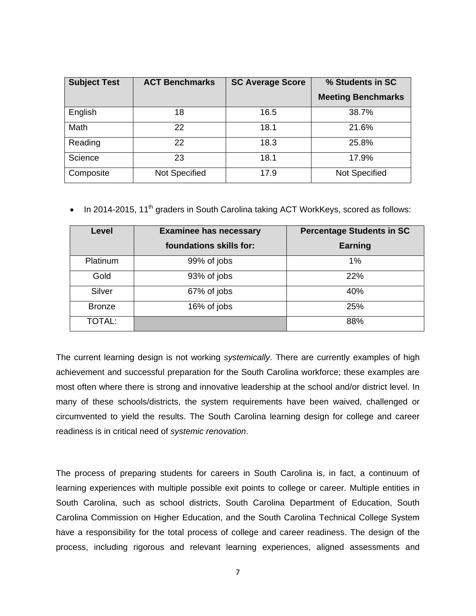| <b>Subject Test</b> | <b>ACT Benchmarks</b> | <b>SC Average Score</b> | % Students in SC          |
|---------------------|-----------------------|-------------------------|---------------------------|
|                     |                       |                         | <b>Meeting Benchmarks</b> |
| English             | 18                    | 16.5                    | 38.7%                     |
| Math                | 22                    | 18.1                    | 21.6%                     |
| Reading             | 22                    | 18.3                    | 25.8%                     |
| Science             | 23                    | 18.1                    | 17.9%                     |
| Composite           | Not Specified         | 17.9                    | <b>Not Specified</b>      |

In 2014-2015, 11<sup>th</sup> graders in South Carolina taking ACT WorkKeys, scored as follows:

| Level           | <b>Examinee has necessary</b> | <b>Percentage Students in SC</b> |
|-----------------|-------------------------------|----------------------------------|
|                 | foundations skills for:       | Earning                          |
| <b>Platinum</b> | 99% of jobs                   | 1%                               |
| Gold            | 93% of jobs                   | 22%                              |
| Silver          | 67% of jobs                   | 40%                              |
| <b>Bronze</b>   | 16% of jobs                   | 25%                              |
| <b>TOTAL:</b>   |                               | 88%                              |

The current learning design is not working *systemically*. There are currently examples of high achievement and successful preparation for the South Carolina workforce; these examples are most often where there is strong and innovative leadership at the school and/or district level. In many of these schools/districts, the system requirements have been waived, challenged or circumvented to yield the results. The South Carolina learning design for college and career readiness is in critical need of *systemic renovation*.

The process of preparing students for careers in South Carolina is, in fact, a continuum of learning experiences with multiple possible exit points to college or career. Multiple entities in South Carolina, such as school districts, South Carolina Department of Education, South Carolina Commission on Higher Education, and the South Carolina Technical College System have a responsibility for the total process of college and career readiness. The design of the process, including rigorous and relevant learning experiences, aligned assessments and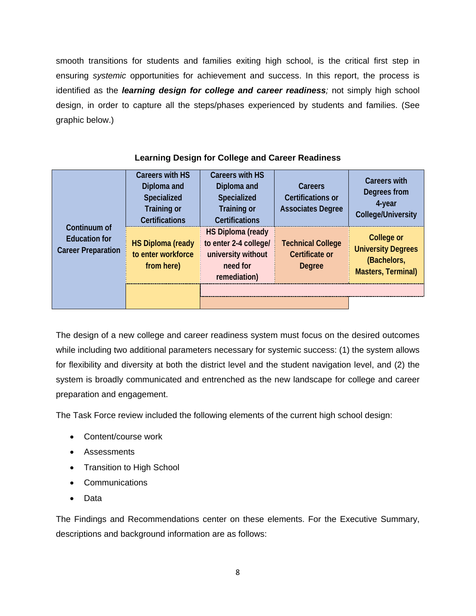smooth transitions for students and families exiting high school, is the critical first step in ensuring *systemic* opportunities for achievement and success. In this report, the process is identified as the *learning design for college and career readiness;* not simply high school design, in order to capture all the steps/phases experienced by students and families. (See graphic below.)

| Continuum of<br><b>Education for</b><br><b>Career Preparation</b> | <b>Careers with HS</b><br>Diploma and<br>Specialized<br><b>Training or</b><br><b>Certifications</b> | <b>Careers with HS</b><br>Diploma and<br>Specialized<br><b>Training or</b><br><b>Certifications</b> | Careers<br><b>Certifications or</b><br><b>Associates Degree</b> | <b>Careers with</b><br>Degrees from<br>4-year<br><b>College/University</b>          |
|-------------------------------------------------------------------|-----------------------------------------------------------------------------------------------------|-----------------------------------------------------------------------------------------------------|-----------------------------------------------------------------|-------------------------------------------------------------------------------------|
|                                                                   | <b>HS Diploma (ready</b><br>to enter workforce<br>from here)                                        | <b>HS Diploma (ready</b><br>to enter 2-4 college/<br>university without<br>need for<br>remediation) | <b>Technical College</b><br><b>Certificate or</b><br>Degree     | College or<br><b>University Degrees</b><br>(Bachelors,<br><b>Masters, Terminal)</b> |
|                                                                   |                                                                                                     |                                                                                                     |                                                                 |                                                                                     |
|                                                                   |                                                                                                     |                                                                                                     |                                                                 |                                                                                     |

#### **Learning Design for College and Career Readiness**

The design of a new college and career readiness system must focus on the desired outcomes while including two additional parameters necessary for systemic success: (1) the system allows for flexibility and diversity at both the district level and the student navigation level, and (2) the system is broadly communicated and entrenched as the new landscape for college and career preparation and engagement.

The Task Force review included the following elements of the current high school design:

- Content/course work
- Assessments
- Transition to High School
- Communications
- Data

The Findings and Recommendations center on these elements. For the Executive Summary, descriptions and background information are as follows: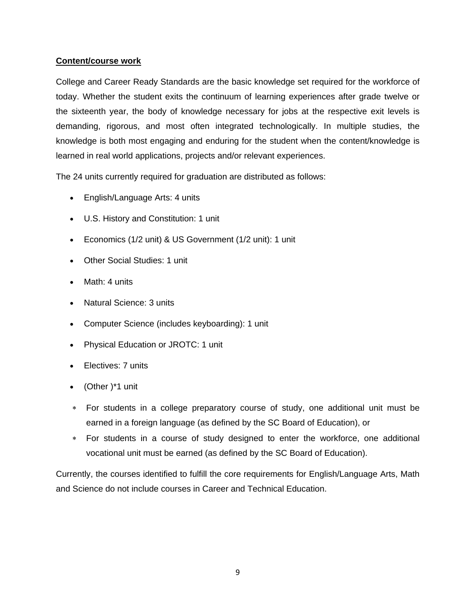#### **Content/course work**

College and Career Ready Standards are the basic knowledge set required for the workforce of today. Whether the student exits the continuum of learning experiences after grade twelve or the sixteenth year, the body of knowledge necessary for jobs at the respective exit levels is demanding, rigorous, and most often integrated technologically. In multiple studies, the knowledge is both most engaging and enduring for the student when the content/knowledge is learned in real world applications, projects and/or relevant experiences.

The 24 units currently required for graduation are distributed as follows:

- English/Language Arts: 4 units
- U.S. History and Constitution: 1 unit
- Economics (1/2 unit) & US Government (1/2 unit): 1 unit
- Other Social Studies: 1 unit
- Math: 4 units
- Natural Science: 3 units
- Computer Science (includes keyboarding): 1 unit
- Physical Education or JROTC: 1 unit
- Electives: 7 units
- (Other )\*1 unit
- For students in a college preparatory course of study, one additional unit must be earned in a foreign language (as defined by the SC Board of Education), or
- For students in a course of study designed to enter the workforce, one additional vocational unit must be earned (as defined by the SC Board of Education).

Currently, the courses identified to fulfill the core requirements for English/Language Arts, Math and Science do not include courses in Career and Technical Education.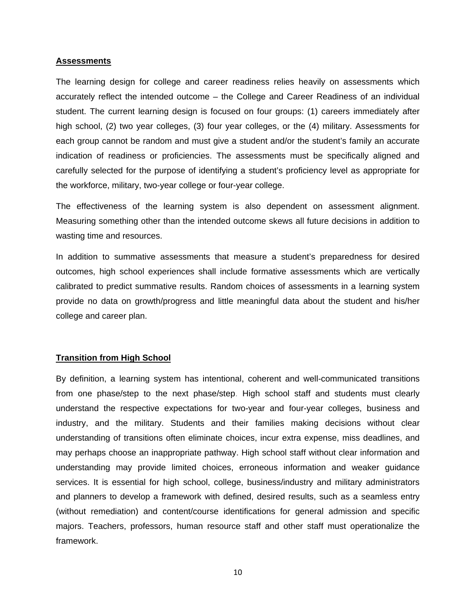#### **Assessments**

The learning design for college and career readiness relies heavily on assessments which accurately reflect the intended outcome – the College and Career Readiness of an individual student. The current learning design is focused on four groups: (1) careers immediately after high school, (2) two year colleges, (3) four year colleges, or the (4) military. Assessments for each group cannot be random and must give a student and/or the student's family an accurate indication of readiness or proficiencies. The assessments must be specifically aligned and carefully selected for the purpose of identifying a student's proficiency level as appropriate for the workforce, military, two-year college or four-year college.

The effectiveness of the learning system is also dependent on assessment alignment. Measuring something other than the intended outcome skews all future decisions in addition to wasting time and resources.

In addition to summative assessments that measure a student's preparedness for desired outcomes, high school experiences shall include formative assessments which are vertically calibrated to predict summative results. Random choices of assessments in a learning system provide no data on growth/progress and little meaningful data about the student and his/her college and career plan.

#### **Transition from High School**

By definition, a learning system has intentional, coherent and well-communicated transitions from one phase/step to the next phase/step. High school staff and students must clearly understand the respective expectations for two-year and four-year colleges, business and industry, and the military. Students and their families making decisions without clear understanding of transitions often eliminate choices, incur extra expense, miss deadlines, and may perhaps choose an inappropriate pathway. High school staff without clear information and understanding may provide limited choices, erroneous information and weaker guidance services. It is essential for high school, college, business/industry and military administrators and planners to develop a framework with defined, desired results, such as a seamless entry (without remediation) and content/course identifications for general admission and specific majors. Teachers, professors, human resource staff and other staff must operationalize the framework.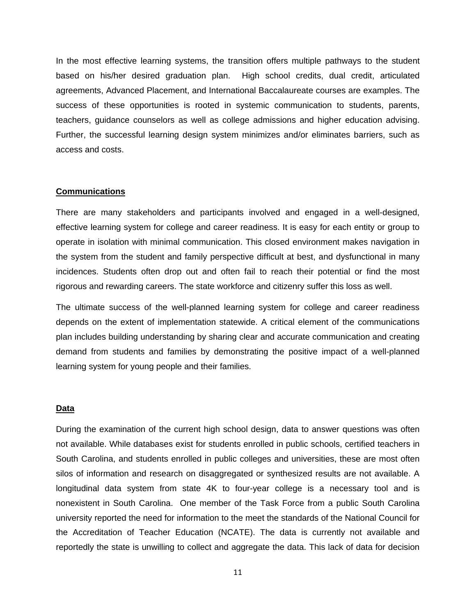In the most effective learning systems, the transition offers multiple pathways to the student based on his/her desired graduation plan. High school credits, dual credit, articulated agreements, Advanced Placement, and International Baccalaureate courses are examples. The success of these opportunities is rooted in systemic communication to students, parents, teachers, guidance counselors as well as college admissions and higher education advising. Further, the successful learning design system minimizes and/or eliminates barriers, such as access and costs.

#### **Communications**

There are many stakeholders and participants involved and engaged in a well-designed, effective learning system for college and career readiness. It is easy for each entity or group to operate in isolation with minimal communication. This closed environment makes navigation in the system from the student and family perspective difficult at best, and dysfunctional in many incidences. Students often drop out and often fail to reach their potential or find the most rigorous and rewarding careers. The state workforce and citizenry suffer this loss as well.

The ultimate success of the well-planned learning system for college and career readiness depends on the extent of implementation statewide. A critical element of the communications plan includes building understanding by sharing clear and accurate communication and creating demand from students and families by demonstrating the positive impact of a well-planned learning system for young people and their families.

#### **Data**

During the examination of the current high school design, data to answer questions was often not available. While databases exist for students enrolled in public schools, certified teachers in South Carolina, and students enrolled in public colleges and universities, these are most often silos of information and research on disaggregated or synthesized results are not available. A longitudinal data system from state 4K to four-year college is a necessary tool and is nonexistent in South Carolina. One member of the Task Force from a public South Carolina university reported the need for information to the meet the standards of the National Council for the Accreditation of Teacher Education (NCATE). The data is currently not available and reportedly the state is unwilling to collect and aggregate the data. This lack of data for decision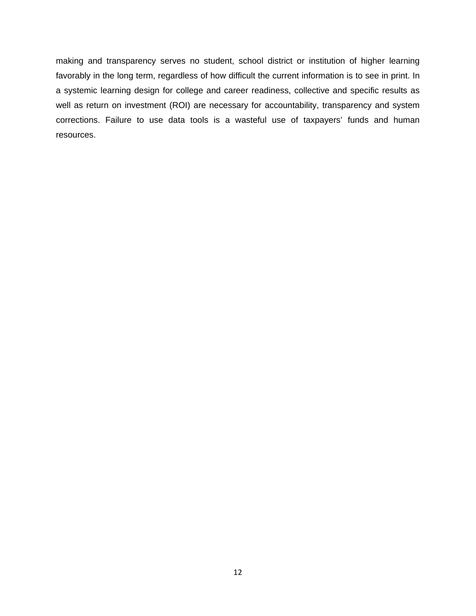making and transparency serves no student, school district or institution of higher learning favorably in the long term, regardless of how difficult the current information is to see in print. In a systemic learning design for college and career readiness, collective and specific results as well as return on investment (ROI) are necessary for accountability, transparency and system corrections. Failure to use data tools is a wasteful use of taxpayers' funds and human resources.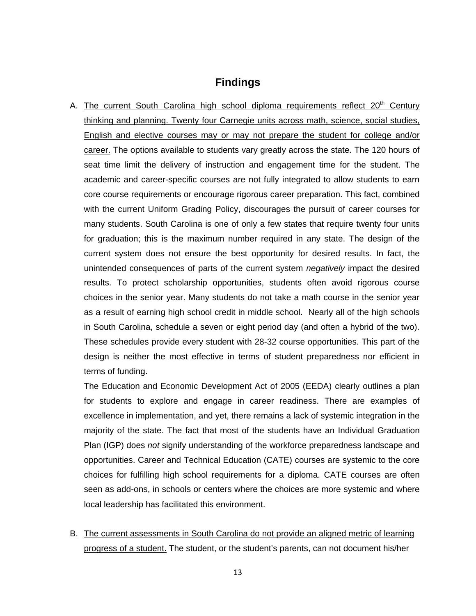#### **Findings**

A. The current South Carolina high school diploma requirements reflect 20<sup>th</sup> Century thinking and planning. Twenty four Carnegie units across math, science, social studies, English and elective courses may or may not prepare the student for college and/or career. The options available to students vary greatly across the state. The 120 hours of seat time limit the delivery of instruction and engagement time for the student. The academic and career-specific courses are not fully integrated to allow students to earn core course requirements or encourage rigorous career preparation. This fact, combined with the current Uniform Grading Policy, discourages the pursuit of career courses for many students. South Carolina is one of only a few states that require twenty four units for graduation; this is the maximum number required in any state. The design of the current system does not ensure the best opportunity for desired results. In fact, the unintended consequences of parts of the current system *negatively* impact the desired results. To protect scholarship opportunities, students often avoid rigorous course choices in the senior year. Many students do not take a math course in the senior year as a result of earning high school credit in middle school. Nearly all of the high schools in South Carolina, schedule a seven or eight period day (and often a hybrid of the two). These schedules provide every student with 28-32 course opportunities. This part of the design is neither the most effective in terms of student preparedness nor efficient in terms of funding.

The Education and Economic Development Act of 2005 (EEDA) clearly outlines a plan for students to explore and engage in career readiness. There are examples of excellence in implementation, and yet, there remains a lack of systemic integration in the majority of the state. The fact that most of the students have an Individual Graduation Plan (IGP) does *not* signify understanding of the workforce preparedness landscape and opportunities. Career and Technical Education (CATE) courses are systemic to the core choices for fulfilling high school requirements for a diploma. CATE courses are often seen as add-ons, in schools or centers where the choices are more systemic and where local leadership has facilitated this environment.

B. The current assessments in South Carolina do not provide an aligned metric of learning progress of a student. The student, or the student's parents, can not document his/her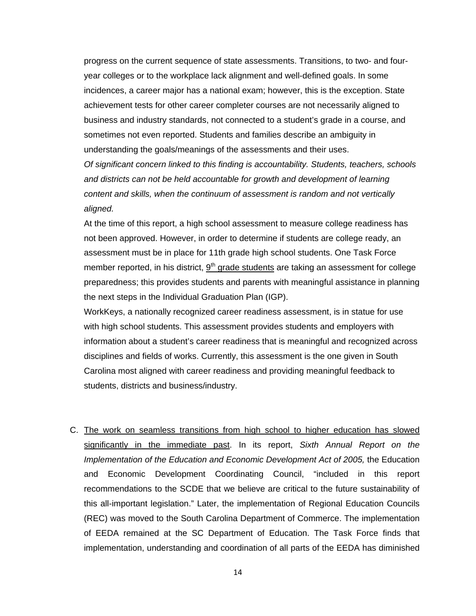progress on the current sequence of state assessments. Transitions, to two- and fouryear colleges or to the workplace lack alignment and well-defined goals. In some incidences, a career major has a national exam; however, this is the exception. State achievement tests for other career completer courses are not necessarily aligned to business and industry standards, not connected to a student's grade in a course, and sometimes not even reported. Students and families describe an ambiguity in understanding the goals/meanings of the assessments and their uses.

*Of significant concern linked to this finding is accountability. Students, teachers, schools and districts can not be held accountable for growth and development of learning content and skills, when the continuum of assessment is random and not vertically aligned.* 

At the time of this report, a high school assessment to measure college readiness has not been approved. However, in order to determine if students are college ready, an assessment must be in place for 11th grade high school students. One Task Force member reported, in his district,  $9<sup>th</sup>$  grade students are taking an assessment for college preparedness; this provides students and parents with meaningful assistance in planning the next steps in the Individual Graduation Plan (IGP).

WorkKeys, a nationally recognized career readiness assessment, is in statue for use with high school students. This assessment provides students and employers with information about a student's career readiness that is meaningful and recognized across disciplines and fields of works. Currently, this assessment is the one given in South Carolina most aligned with career readiness and providing meaningful feedback to students, districts and business/industry.

C. The work on seamless transitions from high school to higher education has slowed significantly in the immediate past. In its report, *Sixth Annual Report on the Implementation of the Education and Economic Development Act of 2005, the Education* and Economic Development Coordinating Council, "included in this report recommendations to the SCDE that we believe are critical to the future sustainability of this all-important legislation." Later, the implementation of Regional Education Councils (REC) was moved to the South Carolina Department of Commerce. The implementation of EEDA remained at the SC Department of Education. The Task Force finds that implementation, understanding and coordination of all parts of the EEDA has diminished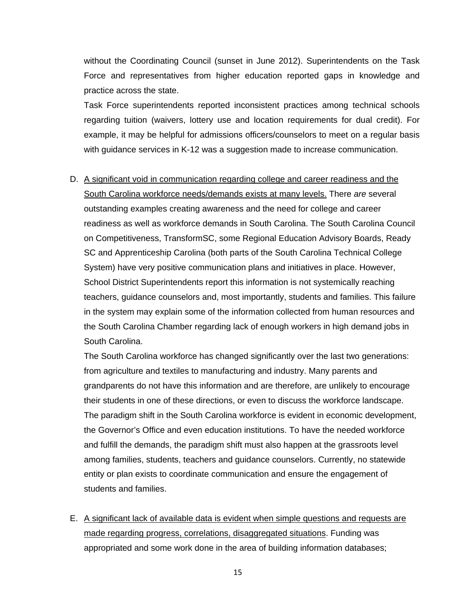without the Coordinating Council (sunset in June 2012). Superintendents on the Task Force and representatives from higher education reported gaps in knowledge and practice across the state.

Task Force superintendents reported inconsistent practices among technical schools regarding tuition (waivers, lottery use and location requirements for dual credit). For example, it may be helpful for admissions officers/counselors to meet on a regular basis with guidance services in K-12 was a suggestion made to increase communication.

D. A significant void in communication regarding college and career readiness and the South Carolina workforce needs/demands exists at many levels. There *are* several outstanding examples creating awareness and the need for college and career readiness as well as workforce demands in South Carolina. The South Carolina Council on Competitiveness, TransformSC, some Regional Education Advisory Boards, Ready SC and Apprenticeship Carolina (both parts of the South Carolina Technical College System) have very positive communication plans and initiatives in place. However, School District Superintendents report this information is not systemically reaching teachers, guidance counselors and, most importantly, students and families. This failure in the system may explain some of the information collected from human resources and the South Carolina Chamber regarding lack of enough workers in high demand jobs in South Carolina.

The South Carolina workforce has changed significantly over the last two generations: from agriculture and textiles to manufacturing and industry. Many parents and grandparents do not have this information and are therefore, are unlikely to encourage their students in one of these directions, or even to discuss the workforce landscape. The paradigm shift in the South Carolina workforce is evident in economic development, the Governor's Office and even education institutions. To have the needed workforce and fulfill the demands, the paradigm shift must also happen at the grassroots level among families, students, teachers and guidance counselors. Currently, no statewide entity or plan exists to coordinate communication and ensure the engagement of students and families.

E. A significant lack of available data is evident when simple questions and requests are made regarding progress, correlations, disaggregated situations. Funding was appropriated and some work done in the area of building information databases;

15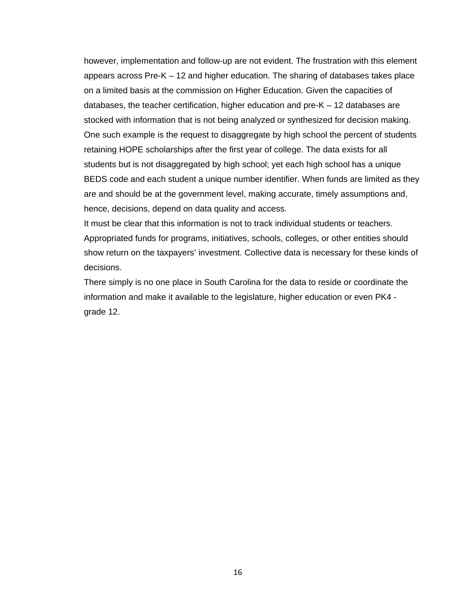however, implementation and follow-up are not evident. The frustration with this element appears across Pre-K – 12 and higher education. The sharing of databases takes place on a limited basis at the commission on Higher Education. Given the capacities of databases, the teacher certification, higher education and pre-K – 12 databases are stocked with information that is not being analyzed or synthesized for decision making. One such example is the request to disaggregate by high school the percent of students retaining HOPE scholarships after the first year of college. The data exists for all students but is not disaggregated by high school; yet each high school has a unique BEDS code and each student a unique number identifier. When funds are limited as they are and should be at the government level, making accurate, timely assumptions and, hence, decisions, depend on data quality and access.

It must be clear that this information is not to track individual students or teachers. Appropriated funds for programs, initiatives, schools, colleges, or other entities should show return on the taxpayers' investment. Collective data is necessary for these kinds of decisions.

There simply is no one place in South Carolina for the data to reside or coordinate the information and make it available to the legislature, higher education or even PK4 grade 12.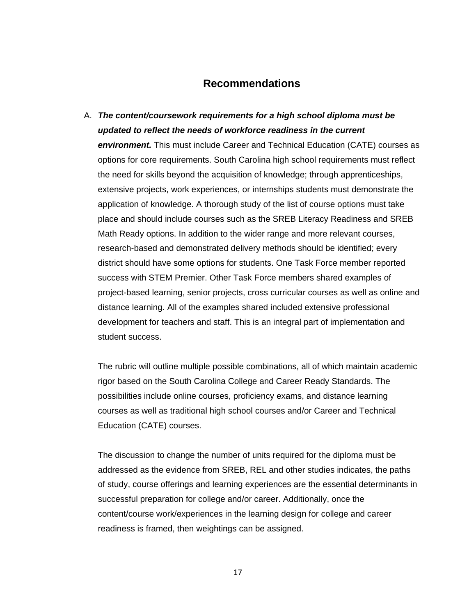#### **Recommendations**

A. *The content/coursework requirements for a high school diploma must be updated to reflect the needs of workforce readiness in the current environment.* This must include Career and Technical Education (CATE) courses as options for core requirements. South Carolina high school requirements must reflect the need for skills beyond the acquisition of knowledge; through apprenticeships, extensive projects, work experiences, or internships students must demonstrate the application of knowledge. A thorough study of the list of course options must take place and should include courses such as the SREB Literacy Readiness and SREB Math Ready options. In addition to the wider range and more relevant courses, research-based and demonstrated delivery methods should be identified; every district should have some options for students. One Task Force member reported success with STEM Premier. Other Task Force members shared examples of project-based learning, senior projects, cross curricular courses as well as online and distance learning. All of the examples shared included extensive professional development for teachers and staff. This is an integral part of implementation and student success.

The rubric will outline multiple possible combinations, all of which maintain academic rigor based on the South Carolina College and Career Ready Standards. The possibilities include online courses, proficiency exams, and distance learning courses as well as traditional high school courses and/or Career and Technical Education (CATE) courses.

The discussion to change the number of units required for the diploma must be addressed as the evidence from SREB, REL and other studies indicates, the paths of study, course offerings and learning experiences are the essential determinants in successful preparation for college and/or career. Additionally, once the content/course work/experiences in the learning design for college and career readiness is framed, then weightings can be assigned.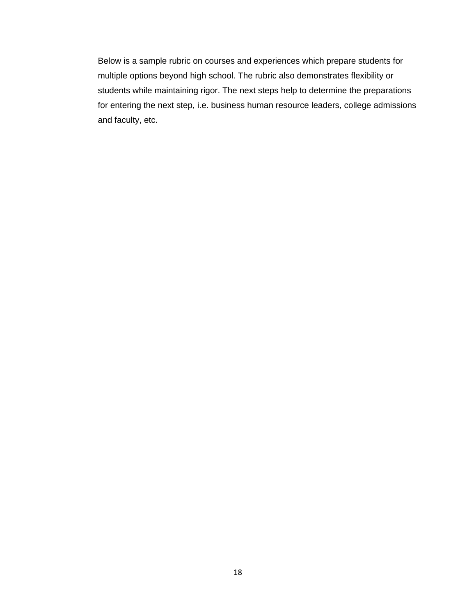Below is a sample rubric on courses and experiences which prepare students for multiple options beyond high school. The rubric also demonstrates flexibility or students while maintaining rigor. The next steps help to determine the preparations for entering the next step, i.e. business human resource leaders, college admissions and faculty, etc.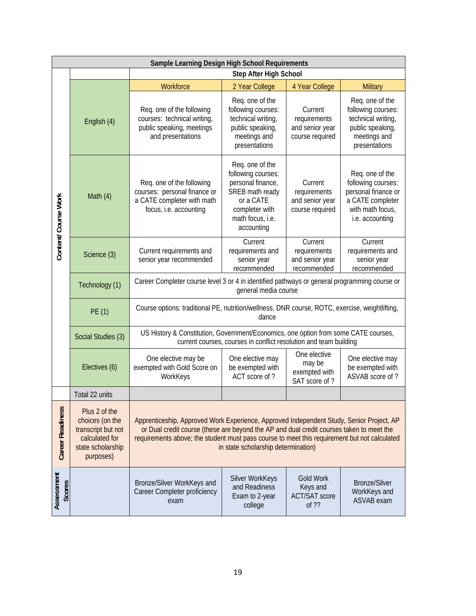|                         | Sample Learning Design High School Requirements                                                            |                                                                                                                                                                                                                                                                                                                             |                                                                                                                                                |                                                               |                                                                                                                         |
|-------------------------|------------------------------------------------------------------------------------------------------------|-----------------------------------------------------------------------------------------------------------------------------------------------------------------------------------------------------------------------------------------------------------------------------------------------------------------------------|------------------------------------------------------------------------------------------------------------------------------------------------|---------------------------------------------------------------|-------------------------------------------------------------------------------------------------------------------------|
|                         |                                                                                                            | Step After High School                                                                                                                                                                                                                                                                                                      |                                                                                                                                                |                                                               |                                                                                                                         |
| Content/ Course Work    |                                                                                                            | Workforce                                                                                                                                                                                                                                                                                                                   | 2 Year College                                                                                                                                 | 4 Year College                                                | Military                                                                                                                |
|                         | English (4)                                                                                                | Req. one of the following<br>courses: technical writing,<br>public speaking, meetings<br>and presentations                                                                                                                                                                                                                  | Req. one of the<br>following courses:<br>technical writing,<br>public speaking,<br>meetings and<br>presentations                               | Current<br>requirements<br>and senior year<br>course required | Req. one of the<br>following courses:<br>technical writing,<br>public speaking,<br>meetings and<br>presentations        |
|                         | Math $(4)$                                                                                                 | Req. one of the following<br>courses: personal finance or<br>a CATE completer with math<br>focus, i.e. accounting                                                                                                                                                                                                           | Req. one of the<br>following courses:<br>personal finance,<br>SREB math ready<br>or a CATE<br>completer with<br>math focus, i.e.<br>accounting | Current<br>requirements<br>and senior year<br>course required | Req. one of the<br>following courses:<br>personal finance or<br>a CATE completer<br>with math focus,<br>i.e. accounting |
|                         | Science (3)                                                                                                | Current requirements and<br>senior year recommended                                                                                                                                                                                                                                                                         | Current<br>requirements and<br>senior year<br>recommended                                                                                      | Current<br>requirements<br>and senior year<br>recommended     | Current<br>requirements and<br>senior year<br>recommended                                                               |
|                         | Technology (1)                                                                                             | Career Completer course level 3 or 4 in identified pathways or general programming course or<br>general media course                                                                                                                                                                                                        |                                                                                                                                                |                                                               |                                                                                                                         |
|                         | PE (1)                                                                                                     | Course options: traditional PE, nutrition/wellness, DNR course, ROTC, exercise, weightlifting,<br>dance                                                                                                                                                                                                                     |                                                                                                                                                |                                                               |                                                                                                                         |
|                         | Social Studies (3)                                                                                         | US History & Constitution, Government/Economics, one option from some CATE courses,<br>current courses, courses in conflict resolution and team building                                                                                                                                                                    |                                                                                                                                                |                                                               |                                                                                                                         |
|                         | Electives (6)                                                                                              | One elective may be<br>exempted with Gold Score on<br>WorkKeys                                                                                                                                                                                                                                                              | One elective may<br>be exempted with<br>ACT score of?                                                                                          | One elective<br>may be<br>exempted with<br>SAT score of?      | One elective may<br>be exempted with<br>ASVAB score of?                                                                 |
|                         | Total 22 units                                                                                             |                                                                                                                                                                                                                                                                                                                             |                                                                                                                                                |                                                               |                                                                                                                         |
| <b>Career Readiness</b> | Plus 2 of the<br>choices (on the<br>transcript but not<br>calculated for<br>state scholarship<br>purposes) | Apprenticeship, Approved Work Experience, Approved Independent Study, Senior Project, AP<br>or Dual credit course (these are beyond the AP and dual credit courses taken to meet the<br>requirements above; the student must pass course to meet this requirement but not calculated<br>in state scholarship determination) |                                                                                                                                                |                                                               |                                                                                                                         |
| Assessment<br>Scores    |                                                                                                            | Bronze/Silver WorkKeys and<br>Career Completer proficiency<br>exam                                                                                                                                                                                                                                                          | Silver WorkKeys<br>and Readiness<br>Exam to 2-year<br>college                                                                                  | <b>Gold Work</b><br>Keys and<br><b>ACT/SAT score</b><br>of ?? | <b>Bronze/Silver</b><br>WorkKeys and<br>ASVAB exam                                                                      |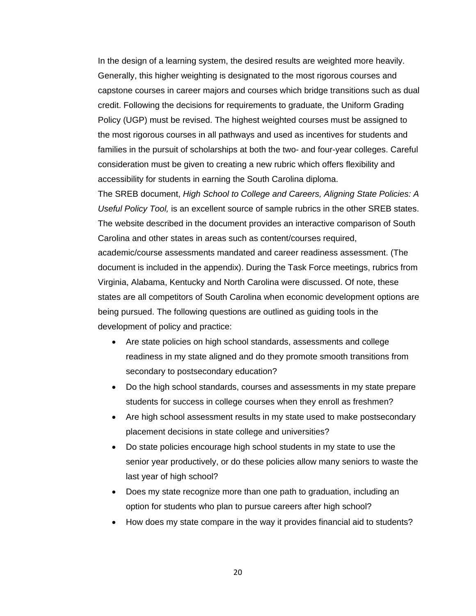In the design of a learning system, the desired results are weighted more heavily. Generally, this higher weighting is designated to the most rigorous courses and capstone courses in career majors and courses which bridge transitions such as dual credit. Following the decisions for requirements to graduate, the Uniform Grading Policy (UGP) must be revised. The highest weighted courses must be assigned to the most rigorous courses in all pathways and used as incentives for students and families in the pursuit of scholarships at both the two- and four-year colleges. Careful consideration must be given to creating a new rubric which offers flexibility and accessibility for students in earning the South Carolina diploma.

The SREB document, *High School to College and Careers, Aligning State Policies: A Useful Policy Tool,* is an excellent source of sample rubrics in the other SREB states. The website described in the document provides an interactive comparison of South Carolina and other states in areas such as content/courses required, academic/course assessments mandated and career readiness assessment. (The document is included in the appendix). During the Task Force meetings, rubrics from Virginia, Alabama, Kentucky and North Carolina were discussed. Of note, these states are all competitors of South Carolina when economic development options are being pursued. The following questions are outlined as guiding tools in the development of policy and practice:

- Are state policies on high school standards, assessments and college readiness in my state aligned and do they promote smooth transitions from secondary to postsecondary education?
- Do the high school standards, courses and assessments in my state prepare students for success in college courses when they enroll as freshmen?
- Are high school assessment results in my state used to make postsecondary placement decisions in state college and universities?
- Do state policies encourage high school students in my state to use the senior year productively, or do these policies allow many seniors to waste the last year of high school?
- Does my state recognize more than one path to graduation, including an option for students who plan to pursue careers after high school?
- How does my state compare in the way it provides financial aid to students?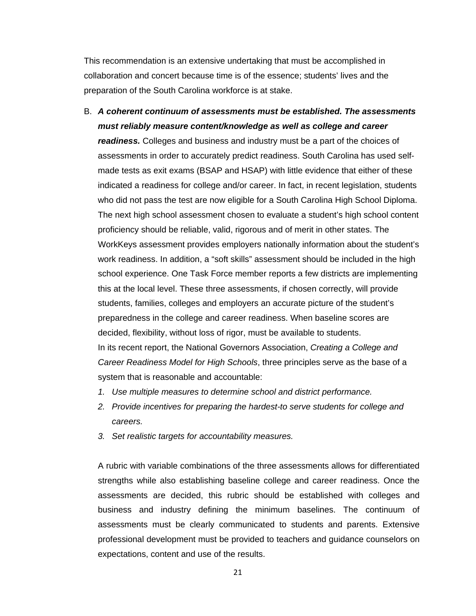This recommendation is an extensive undertaking that must be accomplished in collaboration and concert because time is of the essence; students' lives and the preparation of the South Carolina workforce is at stake.

- B. *A coherent continuum of assessments must be established. The assessments must reliably measure content/knowledge as well as college and career readiness.* Colleges and business and industry must be a part of the choices of assessments in order to accurately predict readiness. South Carolina has used selfmade tests as exit exams (BSAP and HSAP) with little evidence that either of these indicated a readiness for college and/or career. In fact, in recent legislation, students who did not pass the test are now eligible for a South Carolina High School Diploma. The next high school assessment chosen to evaluate a student's high school content proficiency should be reliable, valid, rigorous and of merit in other states. The WorkKeys assessment provides employers nationally information about the student's work readiness. In addition, a "soft skills" assessment should be included in the high school experience. One Task Force member reports a few districts are implementing this at the local level. These three assessments, if chosen correctly, will provide students, families, colleges and employers an accurate picture of the student's preparedness in the college and career readiness. When baseline scores are decided, flexibility, without loss of rigor, must be available to students. In its recent report, the National Governors Association, *Creating a College and Career Readiness Model for High Schools*, three principles serve as the base of a system that is reasonable and accountable:
	- *1. Use multiple measures to determine school and district performance.*
	- *2. Provide incentives for preparing the hardest-to serve students for college and careers.*
	- *3. Set realistic targets for accountability measures.*

A rubric with variable combinations of the three assessments allows for differentiated strengths while also establishing baseline college and career readiness. Once the assessments are decided, this rubric should be established with colleges and business and industry defining the minimum baselines. The continuum of assessments must be clearly communicated to students and parents. Extensive professional development must be provided to teachers and guidance counselors on expectations, content and use of the results.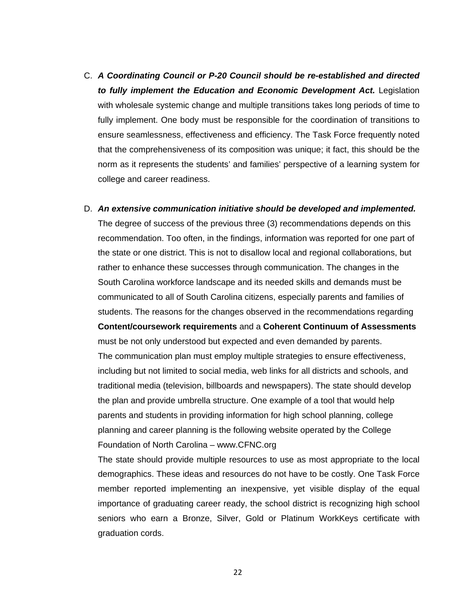- C. *A Coordinating Council or P-20 Council should be re-established and directed to fully implement the Education and Economic Development Act.* Legislation with wholesale systemic change and multiple transitions takes long periods of time to fully implement. One body must be responsible for the coordination of transitions to ensure seamlessness, effectiveness and efficiency. The Task Force frequently noted that the comprehensiveness of its composition was unique; it fact, this should be the norm as it represents the students' and families' perspective of a learning system for college and career readiness.
- D. *An extensive communication initiative should be developed and implemented.* The degree of success of the previous three (3) recommendations depends on this recommendation. Too often, in the findings, information was reported for one part of the state or one district. This is not to disallow local and regional collaborations, but rather to enhance these successes through communication. The changes in the South Carolina workforce landscape and its needed skills and demands must be communicated to all of South Carolina citizens, especially parents and families of students. The reasons for the changes observed in the recommendations regarding **Content/coursework requirements** and a **Coherent Continuum of Assessments**  must be not only understood but expected and even demanded by parents. The communication plan must employ multiple strategies to ensure effectiveness, including but not limited to social media, web links for all districts and schools, and traditional media (television, billboards and newspapers). The state should develop the plan and provide umbrella structure. One example of a tool that would help parents and students in providing information for high school planning, college planning and career planning is the following website operated by the College Foundation of North Carolina – www.CFNC.org

The state should provide multiple resources to use as most appropriate to the local demographics. These ideas and resources do not have to be costly. One Task Force member reported implementing an inexpensive, yet visible display of the equal importance of graduating career ready, the school district is recognizing high school seniors who earn a Bronze, Silver, Gold or Platinum WorkKeys certificate with graduation cords.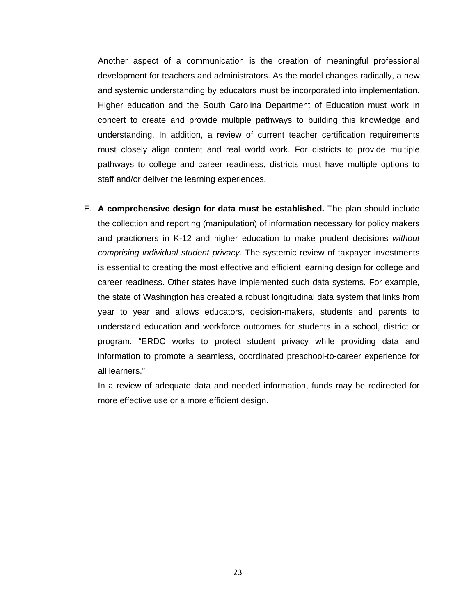Another aspect of a communication is the creation of meaningful professional development for teachers and administrators. As the model changes radically, a new and systemic understanding by educators must be incorporated into implementation. Higher education and the South Carolina Department of Education must work in concert to create and provide multiple pathways to building this knowledge and understanding. In addition, a review of current teacher certification requirements must closely align content and real world work. For districts to provide multiple pathways to college and career readiness, districts must have multiple options to staff and/or deliver the learning experiences.

E. **A comprehensive design for data must be established.** The plan should include the collection and reporting (manipulation) of information necessary for policy makers and practioners in K-12 and higher education to make prudent decisions *without comprising individual student privacy*. The systemic review of taxpayer investments is essential to creating the most effective and efficient learning design for college and career readiness. Other states have implemented such data systems. For example, the state of Washington has created a robust longitudinal data system that links from year to year and allows educators, decision-makers, students and parents to understand education and workforce outcomes for students in a school, district or program. "ERDC works to protect student privacy while providing data and information to promote a seamless, coordinated preschool-to-career experience for all learners."

In a review of adequate data and needed information, funds may be redirected for more effective use or a more efficient design.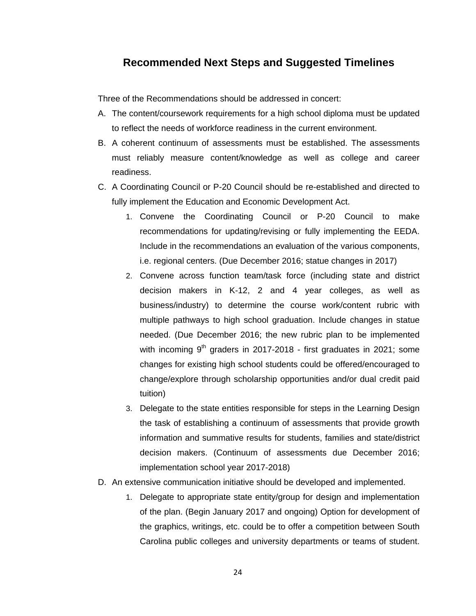#### **Recommended Next Steps and Suggested Timelines**

Three of the Recommendations should be addressed in concert:

- A. The content/coursework requirements for a high school diploma must be updated to reflect the needs of workforce readiness in the current environment.
- B. A coherent continuum of assessments must be established. The assessments must reliably measure content/knowledge as well as college and career readiness.
- C. A Coordinating Council or P-20 Council should be re-established and directed to fully implement the Education and Economic Development Act.
	- 1. Convene the Coordinating Council or P-20 Council to make recommendations for updating/revising or fully implementing the EEDA. Include in the recommendations an evaluation of the various components, i.e. regional centers. (Due December 2016; statue changes in 2017)
	- 2. Convene across function team/task force (including state and district decision makers in K-12, 2 and 4 year colleges, as well as business/industry) to determine the course work/content rubric with multiple pathways to high school graduation. Include changes in statue needed. (Due December 2016; the new rubric plan to be implemented with incoming  $9<sup>th</sup>$  graders in 2017-2018 - first graduates in 2021; some changes for existing high school students could be offered/encouraged to change/explore through scholarship opportunities and/or dual credit paid tuition)
	- 3. Delegate to the state entities responsible for steps in the Learning Design the task of establishing a continuum of assessments that provide growth information and summative results for students, families and state/district decision makers. (Continuum of assessments due December 2016; implementation school year 2017-2018)
- D. An extensive communication initiative should be developed and implemented.
	- 1. Delegate to appropriate state entity/group for design and implementation of the plan. (Begin January 2017 and ongoing) Option for development of the graphics, writings, etc. could be to offer a competition between South Carolina public colleges and university departments or teams of student.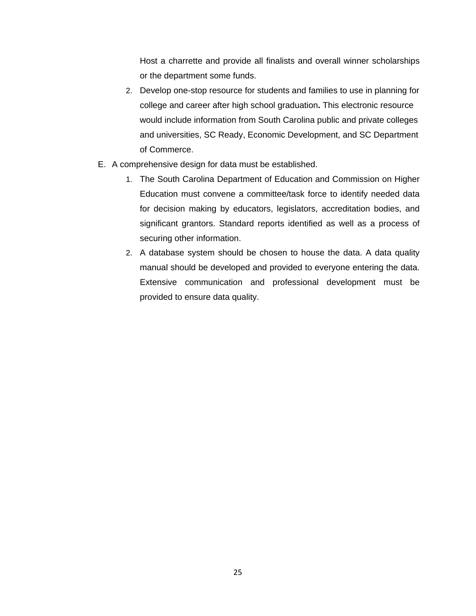Host a charrette and provide all finalists and overall winner scholarships or the department some funds.

- 2. Develop one-stop resource for students and families to use in planning for college and career after high school graduation**.** This electronic resource would include information from South Carolina public and private colleges and universities, SC Ready, Economic Development, and SC Department of Commerce.
- E. A comprehensive design for data must be established.
	- 1. The South Carolina Department of Education and Commission on Higher Education must convene a committee/task force to identify needed data for decision making by educators, legislators, accreditation bodies, and significant grantors. Standard reports identified as well as a process of securing other information.
	- 2. A database system should be chosen to house the data. A data quality manual should be developed and provided to everyone entering the data. Extensive communication and professional development must be provided to ensure data quality.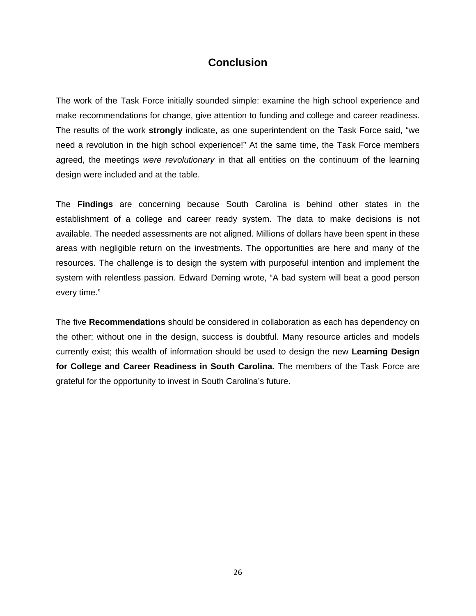#### **Conclusion**

The work of the Task Force initially sounded simple: examine the high school experience and make recommendations for change, give attention to funding and college and career readiness. The results of the work **strongly** indicate, as one superintendent on the Task Force said, "we need a revolution in the high school experience!" At the same time, the Task Force members agreed, the meetings *were revolutionary* in that all entities on the continuum of the learning design were included and at the table.

The **Findings** are concerning because South Carolina is behind other states in the establishment of a college and career ready system. The data to make decisions is not available. The needed assessments are not aligned. Millions of dollars have been spent in these areas with negligible return on the investments. The opportunities are here and many of the resources. The challenge is to design the system with purposeful intention and implement the system with relentless passion. Edward Deming wrote, "A bad system will beat a good person every time."

The five **Recommendations** should be considered in collaboration as each has dependency on the other; without one in the design, success is doubtful. Many resource articles and models currently exist; this wealth of information should be used to design the new **Learning Design for College and Career Readiness in South Carolina.** The members of the Task Force are grateful for the opportunity to invest in South Carolina's future.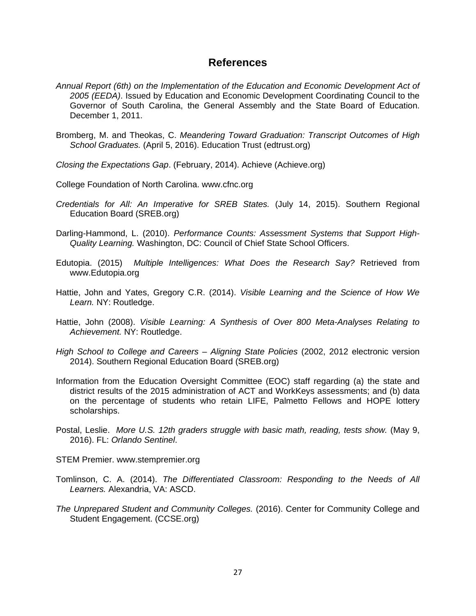#### **References**

- *Annual Report (6th) on the Implementation of the Education and Economic Development Act of 2005 (EEDA)*. Issued by Education and Economic Development Coordinating Council to the Governor of South Carolina, the General Assembly and the State Board of Education. December 1, 2011.
- Bromberg, M. and Theokas, C. *Meandering Toward Graduation: Transcript Outcomes of High School Graduates.* (April 5, 2016). Education Trust (edtrust.org)
- *Closing the Expectations Gap*. (February, 2014). Achieve (Achieve.org)

College Foundation of North Carolina. www.cfnc.org

- *Credentials for All: An Imperative for SREB States.* (July 14, 2015). Southern Regional Education Board (SREB.org)
- Darling-Hammond, L. (2010). *Performance Counts: Assessment Systems that Support High-Quality Learning.* Washington, DC: Council of Chief State School Officers.
- Edutopia. (2015) *Multiple Intelligences: What Does the Research Say?* Retrieved from www.Edutopia.org
- Hattie, John and Yates, Gregory C.R. (2014). *Visible Learning and the Science of How We Learn.* NY: Routledge.
- Hattie, John (2008). *Visible Learning: A Synthesis of Over 800 Meta-Analyses Relating to Achievement.* NY: Routledge.
- *High School to College and Careers Aligning State Policies* (2002, 2012 electronic version 2014). Southern Regional Education Board (SREB.org)
- Information from the Education Oversight Committee (EOC) staff regarding (a) the state and district results of the 2015 administration of ACT and WorkKeys assessments; and (b) data on the percentage of students who retain LIFE, Palmetto Fellows and HOPE lottery scholarships.
- Postal, Leslie. *More U.S. 12th graders struggle with basic math, reading, tests show.* (May 9, 2016). FL: *Orlando Sentinel*.
- STEM Premier. www.stempremier.org
- Tomlinson, C. A. (2014). *The Differentiated Classroom: Responding to the Needs of All Learners.* Alexandria, VA: ASCD.
- *The Unprepared Student and Community Colleges.* (2016). Center for Community College and Student Engagement. (CCSE.org)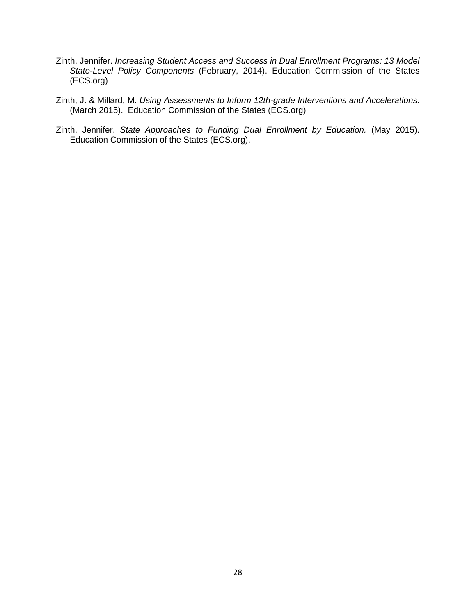- Zinth, Jennifer. *Increasing Student Access and Success in Dual Enrollment Programs: 13 Model State-Level Policy Components* (February, 2014). Education Commission of the States (ECS.org)
- Zinth, J. & Millard, M. *Using Assessments to Inform 12th-grade Interventions and Accelerations.* (March 2015). Education Commission of the States (ECS.org)
- Zinth, Jennifer. *State Approaches to Funding Dual Enrollment by Education.* (May 2015). Education Commission of the States (ECS.org).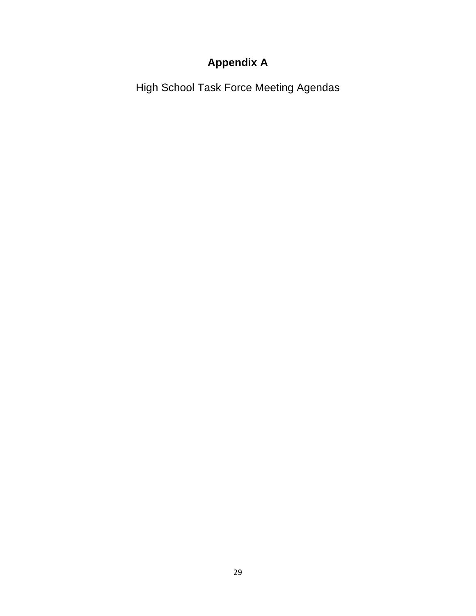# **Appendix A**

High School Task Force Meeting Agendas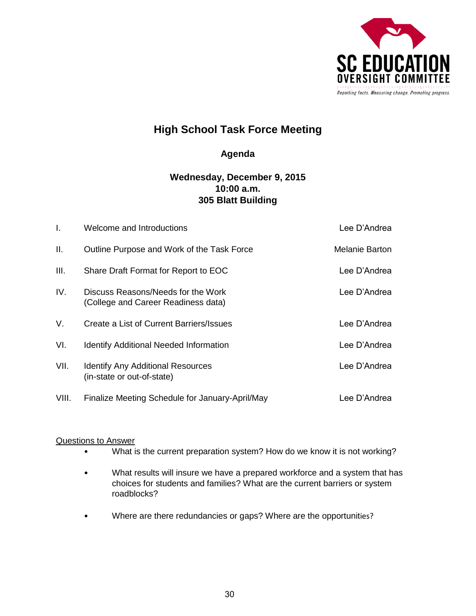

#### **Agenda**

#### **Wednesday, December 9, 2015 10:00 a.m. 305 Blatt Building**

| $\mathbf{I}$ . | Welcome and Introductions                                                 | Lee D'Andrea   |
|----------------|---------------------------------------------------------------------------|----------------|
| Ш.             | Outline Purpose and Work of the Task Force                                | Melanie Barton |
| III.           | Share Draft Format for Report to EOC                                      | Lee D'Andrea   |
| IV.            | Discuss Reasons/Needs for the Work<br>(College and Career Readiness data) | Lee D'Andrea   |
| V.             | Create a List of Current Barriers/Issues                                  | Lee D'Andrea   |
| VI.            | <b>Identify Additional Needed Information</b>                             | Lee D'Andrea   |
| VII.           | <b>Identify Any Additional Resources</b><br>(in-state or out-of-state)    | Lee D'Andrea   |
| VIII.          | Finalize Meeting Schedule for January-April/May                           | Lee D'Andrea   |

#### Questions to Answer

- What is the current preparation system? How do we know it is not working?
- What results will insure we have a prepared workforce and a system that has choices for students and families? What are the current barriers or system roadblocks?
- Where are there redundancies or gaps? Where are the opportunities?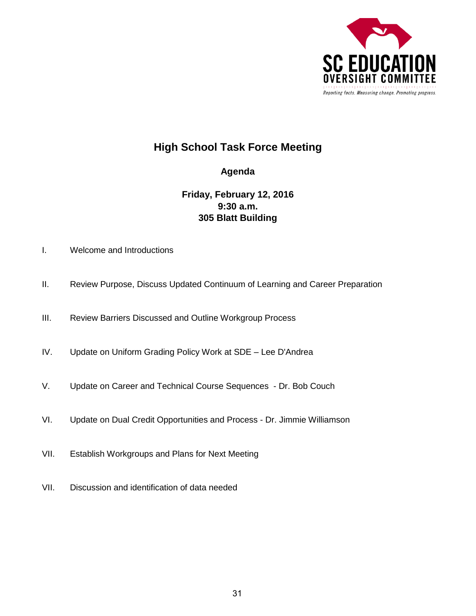

#### **Agenda**

#### **Friday, February 12, 2016 9:30 a.m. 305 Blatt Building**

- I. Welcome and Introductions
- II. Review Purpose, Discuss Updated Continuum of Learning and Career Preparation
- III. Review Barriers Discussed and Outline Workgroup Process
- IV. Update on Uniform Grading Policy Work at SDE Lee D'Andrea
- V. Update on Career and Technical Course Sequences Dr. Bob Couch
- VI. Update on Dual Credit Opportunities and Process Dr. Jimmie Williamson
- VII. Establish Workgroups and Plans for Next Meeting
- VII. Discussion and identification of data needed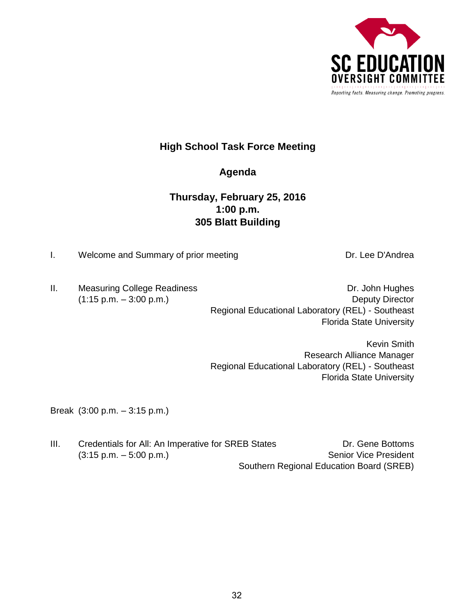

#### **Agenda**

#### **Thursday, February 25, 2016 1:00 p.m. 305 Blatt Building**

I. Welcome and Summary of prior meeting Network Controllery Dr. Lee D'Andrea

II. Measuring College Readiness **Dr. John Hughes** Dr. John Hughes (1:15 p.m. – 3:00 p.m.) Deputy Director Regional Educational Laboratory (REL) - Southeast Florida State University

> Kevin Smith Research Alliance Manager Regional Educational Laboratory (REL) - Southeast Florida State University

Break (3:00 p.m. – 3:15 p.m.)

III. Credentials for All: An Imperative for SREB States Dr. Gene Bottoms (3:15 p.m. – 5:00 p.m.) Senior Vice President Southern Regional Education Board (SREB)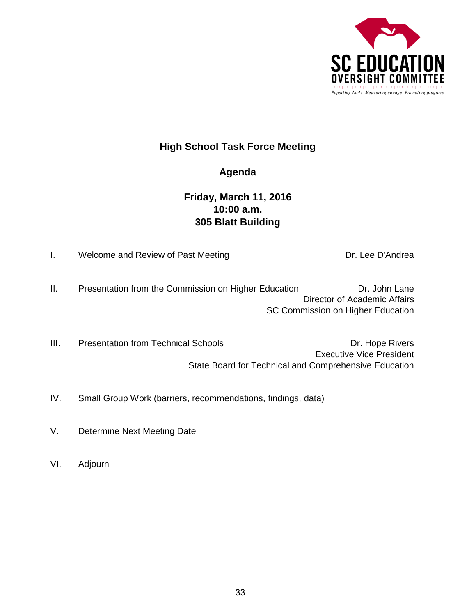

### **Agenda**

# **Friday, March 11, 2016 10:00 a.m. 305 Blatt Building**

I. Welcome and Review of Past Meeting **Example 20 and Conventional** Dr. Lee D'Andrea

II. Presentation from the Commission on Higher Education Dr. John Lane Director of Academic Affairs SC Commission on Higher Education

III. Presentation from Technical Schools **Dr. Hope Rivers** Dr. Hope Rivers Executive Vice President State Board for Technical and Comprehensive Education

- IV. Small Group Work (barriers, recommendations, findings, data)
- V. Determine Next Meeting Date
- VI. Adjourn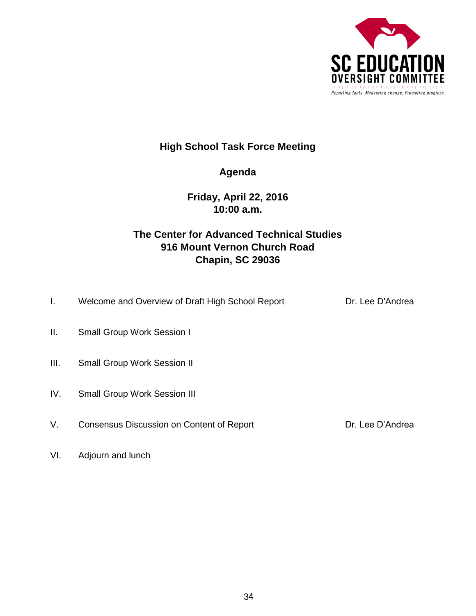

# **Agenda**

### **Friday, April 22, 2016 10:00 a.m.**

# **The Center for Advanced Technical Studies 916 Mount Vernon Church Road Chapin, SC 29036**

- I. Welcome and Overview of Draft High School Report Dr. Lee D'Andrea
- II. Small Group Work Session I
- III. Small Group Work Session II
- IV. Small Group Work Session III
- V. Consensus Discussion on Content of Report **Dr. Lee D'Andrea**

VI. Adjourn and lunch